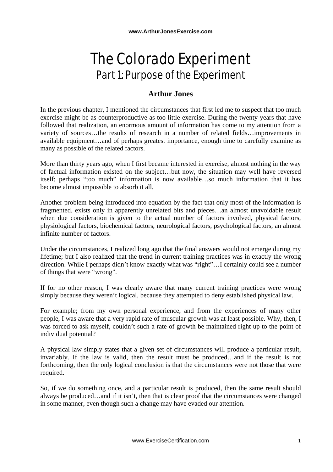# The Colorado Experiment Part 1: Purpose of the Experiment

## **Arthur Jones**

In the previous chapter, I mentioned the circumstances that first led me to suspect that too much exercise might be as counterproductive as too little exercise. During the twenty years that have followed that realization, an enormous amount of information has come to my attention from a variety of sources…the results of research in a number of related fields…improvements in available equipment…and of perhaps greatest importance, enough time to carefully examine as many as possible of the related factors.

More than thirty years ago, when I first became interested in exercise, almost nothing in the way of factual information existed on the subject…but now, the situation may well have reversed itself; perhaps "too much" information is now available…so much information that it has become almost impossible to absorb it all.

Another problem being introduced into equation by the fact that only most of the information is fragmented, exists only in apparently unrelated bits and pieces…an almost unavoidable result when due consideration is given to the actual number of factors involved, physical factors, physiological factors, biochemical factors, neurological factors, psychological factors, an almost infinite number of factors.

Under the circumstances, I realized long ago that the final answers would not emerge during my lifetime; but I also realized that the trend in current training practices was in exactly the wrong direction. While I perhaps didn't know exactly what was "right"…I certainly could see a number of things that were "wrong".

If for no other reason, I was clearly aware that many current training practices were wrong simply because they weren't logical, because they attempted to deny established physical law.

For example; from my own personal experience, and from the experiences of many other people, I was aware that a very rapid rate of muscular growth was at least possible. Why, then, I was forced to ask myself, couldn't such a rate of growth be maintained right up to the point of individual potential?

A physical law simply states that a given set of circumstances will produce a particular result, invariably. If the law is valid, then the result must be produced…and if the result is not forthcoming, then the only logical conclusion is that the circumstances were not those that were required.

So, if we do something once, and a particular result is produced, then the same result should always be produced…and if it isn't, then that is clear proof that the circumstances were changed in some manner, even though such a change may have evaded our attention.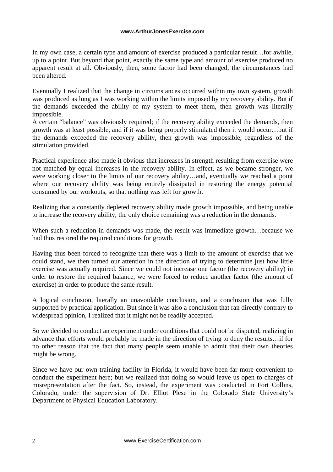In my own case, a certain type and amount of exercise produced a particular result...for awhile, up to a point. But beyond that point, exactly the same type and amount of exercise produced no apparent result at all. Obviously, then, some factor had been changed, the circumstances had been altered.

Eventually I realized that the change in circumstances occurred within my own system, growth was produced as long as I was working within the limits imposed by my recovery ability. But if the demands exceeded the ability of my system to meet them, then growth was literally impossible.

A certain "balance" was obviously required; if the recovery ability exceeded the demands, then growth was at least possible, and if it was being properly stimulated then it would occur…but if the demands exceeded the recovery ability, then growth was impossible, regardless of the stimulation provided.

Practical experience also made it obvious that increases in strength resulting from exercise were not matched by equal increases in the recovery ability. In effect, as we became stronger, we were working closer to the limits of our recovery ability…and, eventually we reached a point where our recovery ability was being entirely dissipated in restoring the energy potential consumed by our workouts, so that nothing was left for growth.

Realizing that a constantly depleted recovery ability made growth impossible, and being unable to increase the recovery ability, the only choice remaining was a reduction in the demands.

When such a reduction in demands was made, the result was immediate growth…because we had thus restored the required conditions for growth.

Having thus been forced to recognize that there was a limit to the amount of exercise that we could stand, we then turned our attention in the direction of trying to determine just how little exercise was actually required. Since we could not increase one factor (the recovery ability) in order to restore the required balance, we were forced to reduce another factor (the amount of exercise) in order to produce the same result.

A logical conclusion, literally an unavoidable conclusion, and a conclusion that was fully supported by practical application. But since it was also a conclusion that ran directly contrary to widespread opinion, I realized that it might not be readily accepted.

So we decided to conduct an experiment under conditions that could not be disputed, realizing in advance that efforts would probably be made in the direction of trying to deny the results…if for no other reason that the fact that many people seem unable to admit that their own theories might be wrong.

Since we have our own training facility in Florida, it would have been far more convenient to conduct the experiment here; but we realized that doing so would leave us open to charges of misrepresentation after the fact. So, instead, the experiment was conducted in Fort Collins, Colorado, under the supervision of Dr. Elliot Plese in the Colorado State University's Department of Physical Education Laboratory.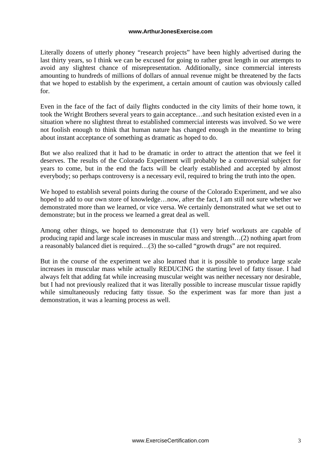Literally dozens of utterly phoney "research projects" have been highly advertised during the last thirty years, so I think we can be excused for going to rather great length in our attempts to avoid any slightest chance of misrepresentation. Additionally, since commercial interests amounting to hundreds of millions of dollars of annual revenue might be threatened by the facts that we hoped to establish by the experiment, a certain amount of caution was obviously called for.

Even in the face of the fact of daily flights conducted in the city limits of their home town, it took the Wright Brothers several years to gain acceptance…and such hesitation existed even in a situation where no slightest threat to established commercial interests was involved. So we were not foolish enough to think that human nature has changed enough in the meantime to bring about instant acceptance of something as dramatic as hoped to do.

But we also realized that it had to be dramatic in order to attract the attention that we feel it deserves. The results of the Colorado Experiment will probably be a controversial subject for years to come, but in the end the facts will be clearly established and accepted by almost everybody; so perhaps controversy is a necessary evil, required to bring the truth into the open.

We hoped to establish several points during the course of the Colorado Experiment, and we also hoped to add to our own store of knowledge…now, after the fact, I am still not sure whether we demonstrated more than we learned, or vice versa. We certainly demonstrated what we set out to demonstrate; but in the process we learned a great deal as well.

Among other things, we hoped to demonstrate that (1) very brief workouts are capable of producing rapid and large scale increases in muscular mass and strength…(2) nothing apart from a reasonably balanced diet is required…(3) the so-called "growth drugs" are not required.

But in the course of the experiment we also learned that it is possible to produce large scale increases in muscular mass while actually REDUCING the starting level of fatty tissue. I had always felt that adding fat while increasing muscular weight was neither necessary nor desirable, but I had not previously realized that it was literally possible to increase muscular tissue rapidly while simultaneously reducing fatty tissue. So the experiment was far more than just a demonstration, it was a learning process as well.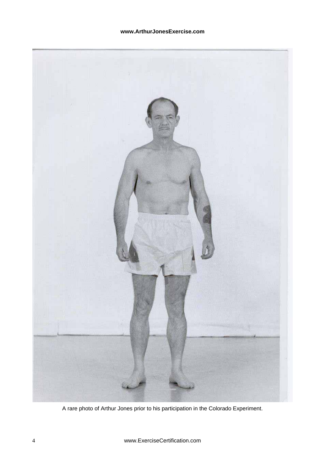

A rare photo of Arthur Jones prior to his participation in the Colorado Experiment.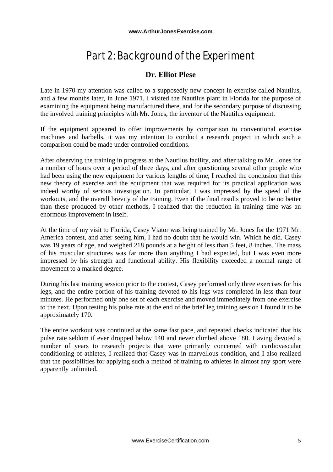## Part 2: Background of the Experiment

## **Dr. Elliot Plese**

Late in 1970 my attention was called to a supposedly new concept in exercise called Nautilus, and a few months later, in June 1971, I visited the Nautilus plant in Florida for the purpose of examining the equipment being manufactured there, and for the secondary purpose of discussing the involved training principles with Mr. Jones, the inventor of the Nautilus equipment.

If the equipment appeared to offer improvements by comparison to conventional exercise machines and barbells, it was my intention to conduct a research project in which such a comparison could be made under controlled conditions.

After observing the training in progress at the Nautilus facility, and after talking to Mr. Jones for a number of hours over a period of three days, and after questioning several other people who had been using the new equipment for various lengths of time, I reached the conclusion that this new theory of exercise and the equipment that was required for its practical application was indeed worthy of serious investigation. In particular, I was impressed by the speed of the workouts, and the overall brevity of the training. Even if the final results proved to be no better than these produced by other methods, I realized that the reduction in training time was an enormous improvement in itself.

At the time of my visit to Florida, Casey Viator was being trained by Mr. Jones for the 1971 Mr. America contest, and after seeing him, I had no doubt that he would win. Which he did. Casey was 19 years of age, and weighed 218 pounds at a height of less than 5 feet, 8 inches. The mass of his muscular structures was far more than anything I had expected, but I was even more impressed by his strength and functional ability. His flexibility exceeded a normal range of movement to a marked degree.

During his last training session prior to the contest, Casey performed only three exercises for his legs, and the entire portion of his training devoted to his legs was completed in less than four minutes. He performed only one set of each exercise and moved immediately from one exercise to the next. Upon testing his pulse rate at the end of the brief leg training session I found it to be approximately 170.

The entire workout was continued at the same fast pace, and repeated checks indicated that his pulse rate seldom if ever dropped below 140 and never climbed above 180. Having devoted a number of years to research projects that were primarily concerned with cardiovascular conditioning of athletes, I realized that Casey was in marvellous condition, and I also realized that the possibilities for applying such a method of training to athletes in almost any sport were apparently unlimited.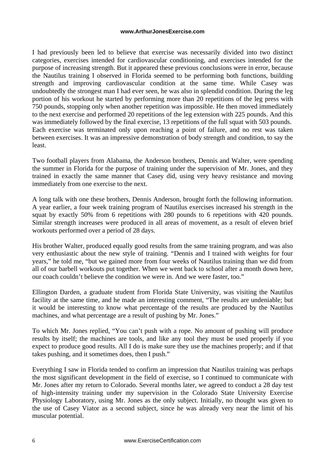I had previously been led to believe that exercise was necessarily divided into two distinct categories, exercises intended for cardiovascular conditioning, and exercises intended for the purpose of increasing strength. But it appeared these previous conclusions were in error, because the Nautilus training I observed in Florida seemed to be performing both functions, building strength and improving cardiovascular condition at the same time. While Casey was undoubtedly the strongest man I had ever seen, he was also in splendid condition. During the leg portion of his workout he started by performing more than 20 repetitions of the leg press with 750 pounds, stopping only when another repetition was impossible. He then moved immediately to the next exercise and performed 20 repetitions of the leg extension with 225 pounds. And this was immediately followed by the final exercise, 13 repetitions of the full squat with 503 pounds. Each exercise was terminated only upon reaching a point of failure, and no rest was taken between exercises. It was an impressive demonstration of body strength and condition, to say the least.

Two football players from Alabama, the Anderson brothers, Dennis and Walter, were spending the summer in Florida for the purpose of training under the supervision of Mr. Jones, and they trained in exactly the same manner that Casey did, using very heavy resistance and moving immediately from one exercise to the next.

A long talk with one these brothers, Dennis Anderson, brought forth the following information. A year earlier, a four week training program of Nautilus exercises increased his strength in the squat by exactly 50% from 6 repetitions with 280 pounds to 6 repetitions with 420 pounds. Similar strength increases were produced in all areas of movement, as a result of eleven brief workouts performed over a period of 28 days.

His brother Walter, produced equally good results from the same training program, and was also very enthusiastic about the new style of training. "Dennis and I trained with weights for four years," he told me, "but we gained more from four weeks of Nautilus training than we did from all of our barbell workouts put together. When we went back to school after a month down here, our coach couldn't believe the condition we were in. And we were faster, too."

Ellington Darden, a graduate student from Florida State University, was visiting the Nautilus facility at the same time, and he made an interesting comment, "The results are undeniable; but it would be interesting to know what percentage of the results are produced by the Nautilus machines, and what percentage are a result of pushing by Mr. Jones."

To which Mr. Jones replied, "You can't push with a rope. No amount of pushing will produce results by itself; the machines are tools, and like any tool they must be used properly if you expect to produce good results. All I do is make sure they use the machines properly; and if that takes pushing, and it sometimes does, then I push."

Everything I saw in Florida tended to confirm an impression that Nautilus training was perhaps the most significant development in the field of exercise, so I continued to communicate with Mr. Jones after my return to Colorado. Several months later, we agreed to conduct a 28 day test of high-intensity training under my supervision in the Colorado State University Exercise Physiology Laboratory, using Mr. Jones as the only subject. Initially, no thought was given to the use of Casey Viator as a second subject, since he was already very near the limit of his muscular potential.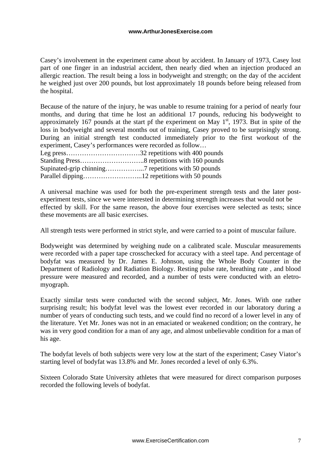Casey's involvement in the experiment came about by accident. In January of 1973, Casey lost part of one finger in an industrial accident, then nearly died when an injection produced an allergic reaction. The result being a loss in bodyweight and strength; on the day of the accident he weighed just over 200 pounds, but lost approximately 18 pounds before being released from the hospital.

Because of the nature of the injury, he was unable to resume training for a period of nearly four months, and during that time he lost an additional 17 pounds, reducing his bodyweight to approximately 167 pounds at the start pf the experiment on May  $1<sup>st</sup>$ , 1973. But in spite of the loss in bodyweight and several months out of training, Casey proved to be surprisingly strong. During an initial strength test conducted immediately prior to the first workout of the experiment, Casey's performances were recorded as follow…

Leg press……………………………32 repetitions with 400 pounds Standing Press………………………..8 repetitions with 160 pounds Supinated-grip chinning……………...7 repetitions with 50 pounds Parallel dipping……………………...12 repetitions with 50 pounds

A universal machine was used for both the pre-experiment strength tests and the later postexperiment tests, since we were interested in determining strength increases that would not be effected by skill. For the same reason, the above four exercises were selected as tests; since these movements are all basic exercises.

All strength tests were performed in strict style, and were carried to a point of muscular failure.

Bodyweight was determined by weighing nude on a calibrated scale. Muscular measurements were recorded with a paper tape crosschecked for accuracy with a steel tape. And percentage of bodyfat was measured by Dr. James E. Johnson, using the Whole Body Counter in the Department of Radiology and Radiation Biology. Resting pulse rate, breathing rate , and blood pressure were measured and recorded, and a number of tests were conducted with an eletromyograph.

Exactly similar tests were conducted with the second subject, Mr. Jones. With one rather surprising result; his bodyfat level was the lowest ever recorded in our laboratory during a number of years of conducting such tests, and we could find no record of a lower level in any of the literature. Yet Mr. Jones was not in an emaciated or weakened condition; on the contrary, he was in very good condition for a man of any age, and almost unbelievable condition for a man of his age.

The bodyfat levels of both subjects were very low at the start of the experiment; Casey Viator's starting level of bodyfat was 13.8% and Mr. Jones recorded a level of only 6.3%.

Sixteen Colorado State University athletes that were measured for direct comparison purposes recorded the following levels of bodyfat.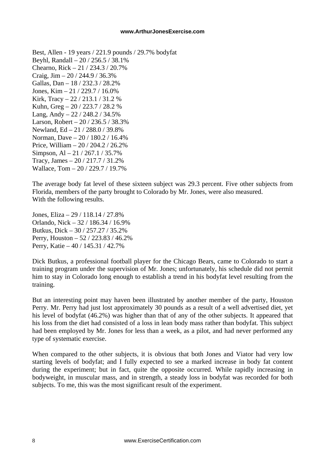Best, Allen - 19 years / 221.9 pounds / 29.7% bodyfat Beyhl, Randall – 20 / 256.5 / 38.1% Chearno, Rick – 21 / 234.3 / 20.7% Craig, Jim – 20 / 244.9 / 36.3% Gallas, Dan – 18 / 232.3 / 28.2% Jones, Kim – 21 / 229.7 / 16.0% Kirk, Tracy – 22 / 213.1 / 31.2 % Kuhn, Greg – 20 / 223.7 / 28.2 % Lang, Andy  $-22/248.2/34.5%$ Larson, Robert – 20 / 236.5 / 38.3% Newland, Ed – 21 / 288.0 / 39.8% Norman, Dave – 20 / 180.2 / 16.4% Price, William – 20 / 204.2 / 26.2% Simpson, Al – 21 / 267.1 / 35.7% Tracy, James – 20 / 217.7 / 31.2% Wallace, Tom – 20 / 229.7 / 19.7%

The average body fat level of these sixteen subject was 29.3 percent. Five other subjects from Florida, members of the party brought to Colorado by Mr. Jones, were also measured. With the following results.

Jones, Eliza – 29 / 118.14 / 27.8% Orlando, Nick – 32 / 186.34 / 16.9% Butkus, Dick – 30 / 257.27 / 35.2% Perry, Houston – 52 / 223.83 / 46.2% Perry, Katie – 40 / 145.31 / 42.7%

Dick Butkus, a professional football player for the Chicago Bears, came to Colorado to start a training program under the supervision of Mr. Jones; unfortunately, his schedule did not permit him to stay in Colorado long enough to establish a trend in his bodyfat level resulting from the training.

But an interesting point may haven been illustrated by another member of the party, Houston Perry. Mr. Perry had just lost approximately 30 pounds as a result of a well advertised diet, yet his level of bodyfat (46.2%) was higher than that of any of the other subjects. It appeared that his loss from the diet had consisted of a loss in lean body mass rather than bodyfat. This subject had been employed by Mr. Jones for less than a week, as a pilot, and had never performed any type of systematic exercise.

When compared to the other subjects, it is obvious that both Jones and Viator had very low starting levels of bodyfat; and I fully expected to see a marked increase in body fat content during the experiment; but in fact, quite the opposite occurred. While rapidly increasing in bodyweight, in muscular mass, and in strength, a steady loss in bodyfat was recorded for both subjects. To me, this was the most significant result of the experiment.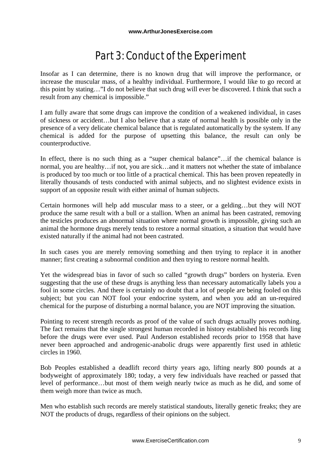## Part 3: Conduct of the Experiment

Insofar as I can determine, there is no known drug that will improve the performance, or increase the muscular mass, of a healthy individual. Furthermore, I would like to go record at this point by stating…"I do not believe that such drug will ever be discovered. I think that such a result from any chemical is impossible."

I am fully aware that some drugs can improve the condition of a weakened individual, in cases of sickness or accident…but I also believe that a state of normal health is possible only in the presence of a very delicate chemical balance that is regulated automatically by the system. If any chemical is added for the purpose of upsetting this balance, the result can only be counterproductive.

In effect, there is no such thing as a "super chemical balance"... if the chemical balance is normal, you are healthy…if not, you are sick…and it matters not whether the state of imbalance is produced by too much or too little of a practical chemical. This has been proven repeatedly in literally thousands of tests conducted with animal subjects, and no slightest evidence exists in support of an opposite result with either animal of human subjects.

Certain hormones will help add muscular mass to a steer, or a gelding…but they will NOT produce the same result with a bull or a stallion. When an animal has been castrated, removing the testicles produces an abnormal situation where normal growth is impossible, giving such an animal the hormone drugs merely tends to restore a normal situation, a situation that would have existed naturally if the animal had not been castrated.

In such cases you are merely removing something and then trying to replace it in another manner; first creating a subnormal condition and then trying to restore normal health.

Yet the widespread bias in favor of such so called "growth drugs" borders on hysteria. Even suggesting that the use of these drugs is anything less than necessary automatically labels you a fool in some circles. And there is certainly no doubt that a lot of people are being fooled on this subject; but you can NOT fool your endocrine system, and when you add an un-required chemical for the purpose of disturbing a normal balance, you are NOT improving the situation.

Pointing to recent strength records as proof of the value of such drugs actually proves nothing. The fact remains that the single strongest human recorded in history established his records ling before the drugs were ever used. Paul Anderson established records prior to 1958 that have never been approached and androgenic-anabolic drugs were apparently first used in athletic circles in 1960.

Bob Peoples established a deadlift record thirty years ago, lifting nearly 800 pounds at a bodyweight of approximately 180; today, a very few individuals have reached or passed that level of performance…but most of them weigh nearly twice as much as he did, and some of them weigh more than twice as much.

Men who establish such records are merely statistical standouts, literally genetic freaks; they are NOT the products of drugs, regardless of their opinions on the subject.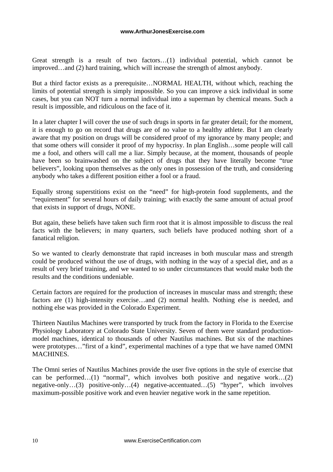Great strength is a result of two factors…(1) individual potential, which cannot be improved…and (2) hard training, which will increase the strength of almost anybody.

But a third factor exists as a prerequisite…NORMAL HEALTH, without which, reaching the limits of potential strength is simply impossible. So you can improve a sick individual in some cases, but you can NOT turn a normal individual into a superman by chemical means. Such a result is impossible, and ridiculous on the face of it.

In a later chapter I will cover the use of such drugs in sports in far greater detail; for the moment, it is enough to go on record that drugs are of no value to a healthy athlete. But I am clearly aware that my position on drugs will be considered proof of my ignorance by many people; and that some others will consider it proof of my hypocrisy. In plan English…some people will call me a fool, and others will call me a liar. Simply because, at the moment, thousands of people have been so brainwashed on the subject of drugs that they have literally become "true believers", looking upon themselves as the only ones in possession of the truth, and considering anybody who takes a different position either a fool or a fraud.

Equally strong superstitions exist on the "need" for high-protein food supplements, and the "requirement" for several hours of daily training; with exactly the same amount of actual proof that exists in support of drugs, NONE.

But again, these beliefs have taken such firm root that it is almost impossible to discuss the real facts with the believers; in many quarters, such beliefs have produced nothing short of a fanatical religion.

So we wanted to clearly demonstrate that rapid increases in both muscular mass and strength could be produced without the use of drugs, with nothing in the way of a special diet, and as a result of very brief training, and we wanted to so under circumstances that would make both the results and the conditions undeniable.

Certain factors are required for the production of increases in muscular mass and strength; these factors are (1) high-intensity exercise…and (2) normal health. Nothing else is needed, and nothing else was provided in the Colorado Experiment.

Thirteen Nautilus Machines were transported by truck from the factory in Florida to the Exercise Physiology Laboratory at Colorado State University. Seven of them were standard productionmodel machines, identical to thousands of other Nautilus machines. But six of the machines were prototypes…"first of a kind", experimental machines of a type that we have named OMNI MACHINES.

The Omni series of Nautilus Machines provide the user five options in the style of exercise that can be performed...(1) "normal", which involves both positive and negative work...(2) negative-only…(3) positive-only…(4) negative-accentuated…(5) "hyper", which involves maximum-possible positive work and even heavier negative work in the same repetition.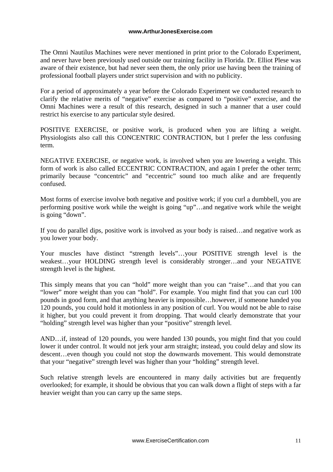The Omni Nautilus Machines were never mentioned in print prior to the Colorado Experiment, and never have been previously used outside our training facility in Florida. Dr. Elliot Plese was aware of their existence, but had never seen them, the only prior use having been the training of professional football players under strict supervision and with no publicity.

For a period of approximately a year before the Colorado Experiment we conducted research to clarify the relative merits of "negative" exercise as compared to "positive" exercise, and the Omni Machines were a result of this research, designed in such a manner that a user could restrict his exercise to any particular style desired.

POSITIVE EXERCISE, or positive work, is produced when you are lifting a weight. Physiologists also call this CONCENTRIC CONTRACTION, but I prefer the less confusing term.

NEGATIVE EXERCISE, or negative work, is involved when you are lowering a weight. This form of work is also called ECCENTRIC CONTRACTION, and again I prefer the other term; primarily because "concentric" and "eccentric" sound too much alike and are frequently confused.

Most forms of exercise involve both negative and positive work; if you curl a dumbbell, you are performing positive work while the weight is going "up"…and negative work while the weight is going "down".

If you do parallel dips, positive work is involved as your body is raised…and negative work as you lower your body.

Your muscles have distinct "strength levels"…your POSITIVE strength level is the weakest…your HOLDING strength level is considerably stronger…and your NEGATIVE strength level is the highest.

This simply means that you can "hold" more weight than you can "raise"…and that you can "lower" more weight than you can "hold". For example. You might find that you can curl 100 pounds in good form, and that anything heavier is impossible…however, if someone handed you 120 pounds, you could hold it motionless in any position of curl. You would not be able to raise it higher, but you could prevent it from dropping. That would clearly demonstrate that your "holding" strength level was higher than your "positive" strength level.

AND…if, instead of 120 pounds, you were handed 130 pounds, you might find that you could lower it under control. It would not jerk your arm straight; instead, you could delay and slow its descent…even though you could not stop the downwards movement. This would demonstrate that your "negative" strength level was higher than your "holding" strength level.

Such relative strength levels are encountered in many daily activities but are frequently overlooked; for example, it should be obvious that you can walk down a flight of steps with a far heavier weight than you can carry up the same steps.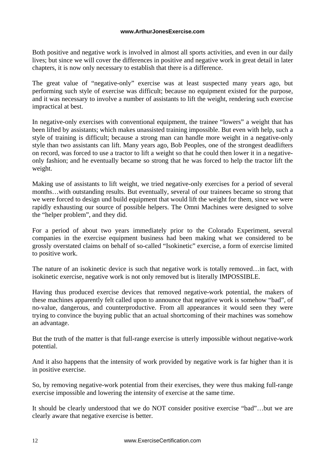Both positive and negative work is involved in almost all sports activities, and even in our daily lives; but since we will cover the differences in positive and negative work in great detail in later chapters, it is now only necessary to establish that there is a difference.

The great value of "negative-only" exercise was at least suspected many years ago, but performing such style of exercise was difficult; because no equipment existed for the purpose, and it was necessary to involve a number of assistants to lift the weight, rendering such exercise impractical at best.

In negative-only exercises with conventional equipment, the trainee "lowers" a weight that has been lifted by assistants; which makes unassisted training impossible. But even with help, such a style of training is difficult; because a strong man can handle more weight in a negative-only style than two assistants can lift. Many years ago, Bob Peoples, one of the strongest deadlifters on record, was forced to use a tractor to lift a weight so that he could then lower it in a negativeonly fashion; and he eventually became so strong that he was forced to help the tractor lift the weight.

Making use of assistants to lift weight, we tried negative-only exercises for a period of several months…with outstanding results. But eventually, several of our trainees became so strong that we were forced to design und build equipment that would lift the weight for them, since we were rapidly exhausting our source of possible helpers. The Omni Machines were designed to solve the "helper problem", and they did.

For a period of about two years immediately prior to the Colorado Experiment, several companies in the exercise equipment business had been making what we considered to be grossly overstated claims on behalf of so-called "Isokinetic" exercise, a form of exercise limited to positive work.

The nature of an isokinetic device is such that negative work is totally removed…in fact, with isokinetic exercise, negative work is not only removed but is literally IMPOSSIBLE.

Having thus produced exercise devices that removed negative-work potential, the makers of these machines apparently felt called upon to announce that negative work is somehow "bad", of no-value, dangerous, and counterproductive. From all appearances it would seen they were trying to convince the buying public that an actual shortcoming of their machines was somehow an advantage.

But the truth of the matter is that full-range exercise is utterly impossible without negative-work potential.

And it also happens that the intensity of work provided by negative work is far higher than it is in positive exercise.

So, by removing negative-work potential from their exercises, they were thus making full-range exercise impossible and lowering the intensity of exercise at the same time.

It should be clearly understood that we do NOT consider positive exercise "bad"…but we are clearly aware that negative exercise is better.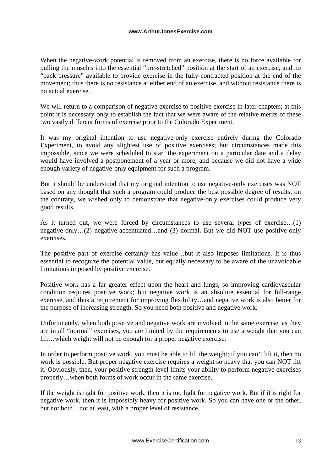When the negative-work potential is removed from an exercise, there is no force available for pulling the muscles into the essential "pre-stretched" position at the start of an exercise, and no "back pressure" available to provide exercise in the fully-contracted position at the end of the movement; thus there is no resistance at either end of an exercise, and without resistance there is no actual exercise.

We will return to a comparison of negative exercise to positive exercise in later chapters; at this point it is necessary only to establish the fact that we were aware of the relative merits of these two vastly different forms of exercise prior to the Colorado Experiment.

It was my original intention to use negative-only exercise entirely during the Colorado Experiment, to avoid any slightest use of positive exercises; but circumstances made this impossible, since we were scheduled to start the experiment on a particular date and a delay would have involved a postponement of a year or more, and because we did not have a wide enough variety of negative-only equipment for such a program.

But it should be understood that my original intention to use negative-only exercises was NOT based on any thought that such a program could produce the best possible degree of results; on the contrary, we wished only to demonstrate that negative-only exercises could produce very good results.

As it turned out, we were forced by circumstances to use several types of exercise…(1) negative-only…(2) negative-accentuated…and (3) normal. But we did NOT use positive-only exercises.

The positive part of exercise certainly has value…but it also imposes limitations. It is thus essential to recognize the potential value, but equally necessary to be aware of the unavoidable limitations imposed by positive exercise.

Positive work has a far greater effect upon the heart and lungs, so improving cardiovascular condition requires positive work; but negative work is an absolute essential for full-range exercise, and thus a requirement for improving flexibility…and negative work is also better for the purpose of increasing strength. So you need both positive and negative work.

Unfortunately, when both positive and negative work are involved in the same exercise, as they are in all "normal" exercises, you are limited by the requirements to use a weight that you can lift…which weight will not be enough for a proper negative exercise.

In order to perform positive work, you must be able to lift the weight; if you can't lift it, then no work is possible. But proper negative exercise requires a weight so heavy that you can NOT lift it. Obviously, then, your positive strength level limits your ability to perform negative exercises properly…when both forms of work occur in the same exercise.

If the weight is right for positive work, then it is too light for negative work. But if it is right for negative work, then it is impossibly heavy for positive work. So you can have one or the other, but not both…not at least, with a proper level of resistance.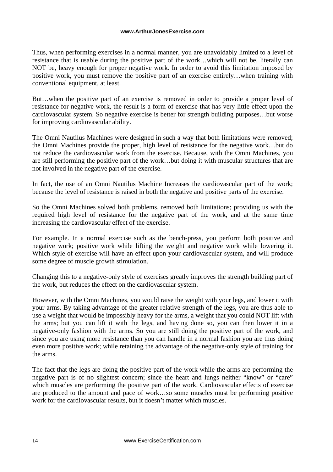Thus, when performing exercises in a normal manner, you are unavoidably limited to a level of resistance that is usable during the positive part of the work…which will not be, literally can NOT be, heavy enough for proper negative work. In order to avoid this limitation imposed by positive work, you must remove the positive part of an exercise entirely…when training with conventional equipment, at least.

But…when the positive part of an exercise is removed in order to provide a proper level of resistance for negative work, the result is a form of exercise that has very little effect upon the cardiovascular system. So negative exercise is better for strength building purposes…but worse for improving cardiovascular ability.

The Omni Nautilus Machines were designed in such a way that both limitations were removed; the Omni Machines provide the proper, high level of resistance for the negative work…but do not reduce the cardiovascular work from the exercise. Because, with the Omni Machines, you are still performing the positive part of the work…but doing it with muscular structures that are not involved in the negative part of the exercise.

In fact, the use of an Omni Nautilus Machine Increases the cardiovascular part of the work; because the level of resistance is raised in both the negative and positive parts of the exercise.

So the Omni Machines solved both problems, removed both limitations; providing us with the required high level of resistance for the negative part of the work, and at the same time increasing the cardiovascular effect of the exercise.

For example. In a normal exercise such as the bench-press, you perform both positive and negative work; positive work while lifting the weight and negative work while lowering it. Which style of exercise will have an effect upon your cardiovascular system, and will produce some degree of muscle growth stimulation.

Changing this to a negative-only style of exercises greatly improves the strength building part of the work, but reduces the effect on the cardiovascular system.

However, with the Omni Machines, you would raise the weight with your legs, and lower it with your arms. By taking advantage of the greater relative strength of the legs, you are thus able to use a weight that would be impossibly heavy for the arms, a weight that you could NOT lift with the arms; but you can lift it with the legs, and having done so, you can then lower it in a negative-only fashion with the arms. So you are still doing the positive part of the work, and since you are using more resistance than you can handle in a normal fashion you are thus doing even more positive work; while retaining the advantage of the negative-only style of training for the arms.

The fact that the legs are doing the positive part of the work while the arms are performing the negative part is of no slightest concern; since the heart and lungs neither "know" or "care" which muscles are performing the positive part of the work. Cardiovascular effects of exercise are produced to the amount and pace of work…so some muscles must be performing positive work for the cardiovascular results, but it doesn't matter which muscles.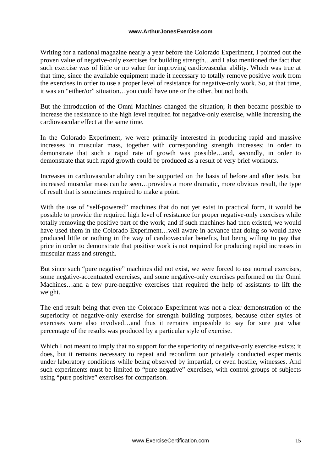Writing for a national magazine nearly a year before the Colorado Experiment, I pointed out the proven value of negative-only exercises for building strength…and I also mentioned the fact that such exercise was of little or no value for improving cardiovascular ability. Which was true at that time, since the available equipment made it necessary to totally remove positive work from the exercises in order to use a proper level of resistance for negative-only work. So, at that time, it was an "either/or" situation…you could have one or the other, but not both.

But the introduction of the Omni Machines changed the situation; it then became possible to increase the resistance to the high level required for negative-only exercise, while increasing the cardiovascular effect at the same time.

In the Colorado Experiment, we were primarily interested in producing rapid and massive increases in muscular mass, together with corresponding strength increases; in order to demonstrate that such a rapid rate of growth was possible…and, secondly, in order to demonstrate that such rapid growth could be produced as a result of very brief workouts.

Increases in cardiovascular ability can be supported on the basis of before and after tests, but increased muscular mass can be seen…provides a more dramatic, more obvious result, the type of result that is sometimes required to make a point.

With the use of "self-powered" machines that do not yet exist in practical form, it would be possible to provide the required high level of resistance for proper negative-only exercises while totally removing the positive part of the work; and if such machines had then existed, we would have used them in the Colorado Experiment...well aware in advance that doing so would have produced little or nothing in the way of cardiovascular benefits, but being willing to pay that price in order to demonstrate that positive work is not required for producing rapid increases in muscular mass and strength.

But since such "pure negative" machines did not exist, we were forced to use normal exercises, some negative-accentuated exercises, and some negative-only exercises performed on the Omni Machines…and a few pure-negative exercises that required the help of assistants to lift the weight.

The end result being that even the Colorado Experiment was not a clear demonstration of the superiority of negative-only exercise for strength building purposes, because other styles of exercises were also involved…and thus it remains impossible to say for sure just what percentage of the results was produced by a particular style of exercise.

Which I not meant to imply that no support for the superiority of negative-only exercise exists; it does, but it remains necessary to repeat and reconfirm our privately conducted experiments under laboratory conditions while being observed by impartial, or even hostile, witnesses. And such experiments must be limited to "pure-negative" exercises, with control groups of subjects using "pure positive" exercises for comparison.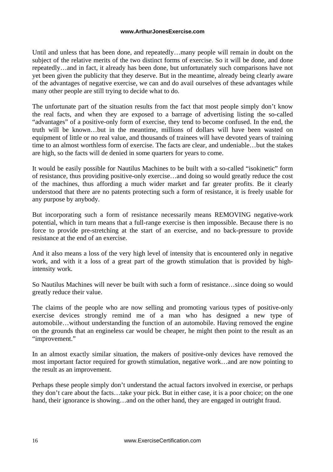Until and unless that has been done, and repeatedly…many people will remain in doubt on the subject of the relative merits of the two distinct forms of exercise. So it will be done, and done repeatedly…and in fact, it already has been done, but unfortunately such comparisons have not yet been given the publicity that they deserve. But in the meantime, already being clearly aware of the advantages of negative exercise, we can and do avail ourselves of these advantages while many other people are still trying to decide what to do.

The unfortunate part of the situation results from the fact that most people simply don't know the real facts, and when they are exposed to a barrage of advertising listing the so-called "advantages" of a positive-only form of exercise, they tend to become confused. In the end, the truth will be known…but in the meantime, millions of dollars will have been wasted on equipment of little or no real value, and thousands of trainees will have devoted years of training time to an almost worthless form of exercise. The facts are clear, and undeniable…but the stakes are high, so the facts will de denied in some quarters for years to come.

It would be easily possible for Nautilus Machines to be built with a so-called "isokinetic" form of resistance, thus providing positive-only exercise…and doing so would greatly reduce the cost of the machines, thus affording a much wider market and far greater profits. Be it clearly understood that there are no patents protecting such a form of resistance, it is freely usable for any purpose by anybody.

But incorporating such a form of resistance necessarily means REMOVING negative-work potential, which in turn means that a full-range exercise is then impossible. Because there is no force to provide pre-stretching at the start of an exercise, and no back-pressure to provide resistance at the end of an exercise.

And it also means a loss of the very high level of intensity that is encountered only in negative work, and with it a loss of a great part of the growth stimulation that is provided by highintensity work.

So Nautilus Machines will never be built with such a form of resistance…since doing so would greatly reduce their value.

The claims of the people who are now selling and promoting various types of positive-only exercise devices strongly remind me of a man who has designed a new type of automobile…without understanding the function of an automobile. Having removed the engine on the grounds that an engineless car would be cheaper, he might then point to the result as an "improvement."

In an almost exactly similar situation, the makers of positive-only devices have removed the most important factor required for growth stimulation, negative work…and are now pointing to the result as an improvement.

Perhaps these people simply don't understand the actual factors involved in exercise, or perhaps they don't care about the facts…take your pick. But in either case, it is a poor choice; on the one hand, their ignorance is showing...and on the other hand, they are engaged in outright fraud.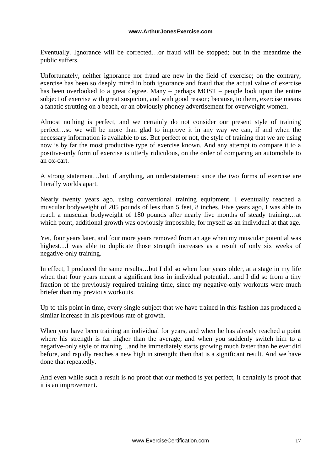Eventually. Ignorance will be corrected…or fraud will be stopped; but in the meantime the public suffers.

Unfortunately, neither ignorance nor fraud are new in the field of exercise; on the contrary, exercise has been so deeply mired in both ignorance and fraud that the actual value of exercise has been overlooked to a great degree. Many – perhaps MOST – people look upon the entire subject of exercise with great suspicion, and with good reason; because, to them, exercise means a fanatic strutting on a beach, or an obviously phoney advertisement for overweight women.

Almost nothing is perfect, and we certainly do not consider our present style of training perfect…so we will be more than glad to improve it in any way we can, if and when the necessary information is available to us. But perfect or not, the style of training that we are using now is by far the most productive type of exercise known. And any attempt to compare it to a positive-only form of exercise is utterly ridiculous, on the order of comparing an automobile to an ox-cart.

A strong statement…but, if anything, an understatement; since the two forms of exercise are literally worlds apart.

Nearly twenty years ago, using conventional training equipment, I eventually reached a muscular bodyweight of 205 pounds of less than 5 feet, 8 inches. Five years ago, I was able to reach a muscular bodyweight of 180 pounds after nearly five months of steady training…at which point, additional growth was obviously impossible, for myself as an individual at that age.

Yet, four years later, and four more years removed from an age when my muscular potential was highest...I was able to duplicate those strength increases as a result of only six weeks of negative-only training.

In effect, I produced the same results...but I did so when four years older, at a stage in my life when that four years meant a significant loss in individual potential...and I did so from a tiny fraction of the previously required training time, since my negative-only workouts were much briefer than my previous workouts.

Up to this point in time, every single subject that we have trained in this fashion has produced a similar increase in his previous rate of growth.

When you have been training an individual for years, and when he has already reached a point where his strength is far higher than the average, and when you suddenly switch him to a negative-only style of training…and he immediately starts growing much faster than he ever did before, and rapidly reaches a new high in strength; then that is a significant result. And we have done that repeatedly.

And even while such a result is no proof that our method is yet perfect, it certainly is proof that it is an improvement.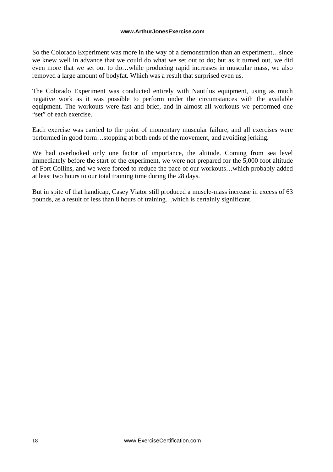So the Colorado Experiment was more in the way of a demonstration than an experiment…since we knew well in advance that we could do what we set out to do; but as it turned out, we did even more that we set out to do…while producing rapid increases in muscular mass, we also removed a large amount of bodyfat. Which was a result that surprised even us.

The Colorado Experiment was conducted entirely with Nautilus equipment, using as much negative work as it was possible to perform under the circumstances with the available equipment. The workouts were fast and brief, and in almost all workouts we performed one "set" of each exercise.

Each exercise was carried to the point of momentary muscular failure, and all exercises were performed in good form…stopping at both ends of the movement, and avoiding jerking.

We had overlooked only one factor of importance, the altitude. Coming from sea level immediately before the start of the experiment, we were not prepared for the 5,000 foot altitude of Fort Collins, and we were forced to reduce the pace of our workouts…which probably added at least two hours to our total training time during the 28 days.

But in spite of that handicap, Casey Viator still produced a muscle-mass increase in excess of 63 pounds, as a result of less than 8 hours of training…which is certainly significant.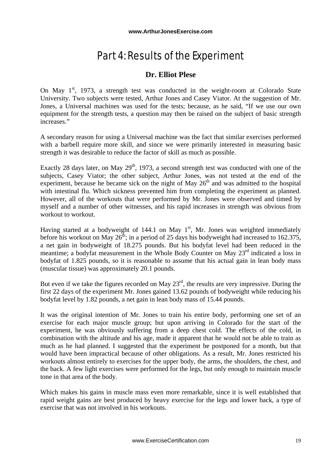## Part 4: Results of the Experiment

## **Dr. Elliot Plese**

On May  $1<sup>st</sup>$ , 1973, a strength test was conducted in the weight-room at Colorado State University. Two subjects were tested, Arthur Jones and Casey Viator. At the suggestion of Mr. Jones, a Universal machines was used for the tests; because, as he said, "If we use our own equipment for the strength tests, a question may then be raised on the subject of basic strength increases"

A secondary reason for using a Universal machine was the fact that similar exercises performed with a barbell require more skill, and since we were primarily interested in measuring basic strength it was desirable to reduce the factor of skill as much as possible.

Exactly 28 days later, on May  $29<sup>th</sup>$ , 1973, a second strength test was conducted with one of the subjects, Casey Viator; the other subject, Arthur Jones, was not tested at the end of the experiment, because he became sick on the night of May  $26<sup>th</sup>$  and was admitted to the hospital with intestinal flu. Which sickness prevented him from completing the experiment as planned. However, all of the workouts that were performed by Mr. Jones were observed and timed by myself and a number of other witnesses, and his rapid increases in strength was obvious from workout to workout.

Having started at a bodyweight of 144.1 on May  $1<sup>st</sup>$ , Mr. Jones was weighted immediately before his workout on May  $26^{th}$ ; in a period of 25 days his bodyweight had increased to 162.375. a net gain in bodyweight of 18.275 pounds. But his bodyfat level had been reduced in the meantime; a bodyfat measurement in the Whole Body Counter on May 23<sup>rd</sup> indicated a loss in bodyfat of 1.825 pounds, so it is reasonable to assume that his actual gain in lean body mass (muscular tissue) was approximately 20.1 pounds.

But even if we take the figures recorded on May  $23<sup>rd</sup>$ , the results are very impressive. During the first 22 days of the experiment Mr. Jones gained 13.62 pounds of bodyweight while reducing his bodyfat level by 1.82 pounds, a net gain in lean body mass of 15.44 pounds.

It was the original intention of Mr. Jones to train his entire body, performing one set of an exercise for each major muscle group; but upon arriving in Colorado for the start of the experiment, he was obviously suffering from a deep chest cold. The effects of the cold, in combination with the altitude and his age, made it apparent that he would not be able to train as much as he had planned. I suggested that the experiment be postponed for a month, but that would have been impractical because of other obligations. As a result, Mr. Jones restricted his workouts almost entirely to exercises for the upper body, the arms, the shoulders, the chest, and the back. A few light exercises were performed for the legs, but only enough to maintain muscle tone in that area of the body.

Which makes his gains in muscle mass even more remarkable, since it is well established that rapid weight gains are best produced by heavy exercise for the legs and lower back, a type of exercise that was not involved in his workouts.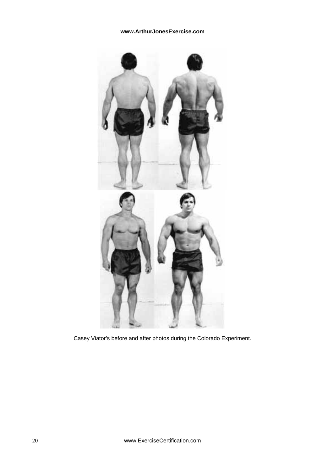

Casey Viator's before and after photos during the Colorado Experiment.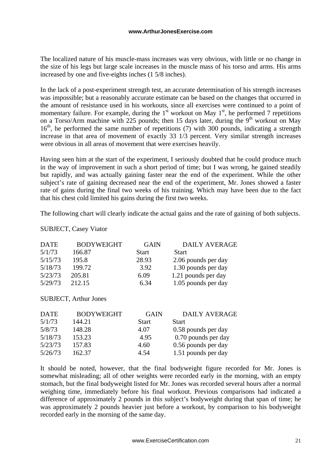The localized nature of his muscle-mass increases was very obvious, with little or no change in the size of his legs but large scale increases in the muscle mass of his torso and arms. His arms increased by one and five-eights inches (1 5/8 inches).

In the lack of a post-experiment strength test, an accurate determination of his strength increases was impossible; but a reasonably accurate estimate can be based on the changes that occurred in the amount of resistance used in his workouts, since all exercises were continued to a point of momentary failure. For example, during the  $1<sup>st</sup>$  workout on May  $1<sup>st</sup>$ , he performed 7 repetitions on a Torso/Arm machine with 225 pounds; then 15 days later, during the 9<sup>th</sup> workout on May  $16<sup>th</sup>$ , he performed the same number of repetitions (7) with 300 pounds, indicating a strength increase in that area of movement of exactly 33 1/3 percent. Very similar strength increases were obvious in all areas of movement that were exercises heavily.

Having seen him at the start of the experiment, I seriously doubted that he could produce much in the way of improvement in such a short period of time; but I was wrong, he gained steadily but rapidly, and was actually gaining faster near the end of the experiment. While the other subject's rate of gaining decreased near the end of the experiment, Mr. Jones showed a faster rate of gains during the final two weeks of his training. Which may have been due to the fact that his chest cold limited his gains during the first two weeks.

The following chart will clearly indicate the actual gains and the rate of gaining of both subjects.

### SUBJECT, Casey Viator

| <b>DATE</b> | <b>BODYWEIGHT</b> | <b>GAIN</b>  | <b>DAILY AVERAGE</b> |
|-------------|-------------------|--------------|----------------------|
| 5/1/73      | 166.87            | <b>Start</b> | <b>Start</b>         |
| 5/15/73     | 195.8             | 28.93        | 2.06 pounds per day  |
| 5/18/73     | 199.72            | 3.92         | 1.30 pounds per day  |
| 5/23/73     | 205.81            | 6.09         | 1.21 pounds per day  |
| 5/29/73     | 212.15            | 6.34         | 1.05 pounds per day  |

### SUBJECT, Arthur Jones

| <b>DATE</b> | <b>BODYWEIGHT</b> | <b>GAIN</b>  | <b>DAILY AVERAGE</b> |
|-------------|-------------------|--------------|----------------------|
| 5/1/73      | 144.21            | <b>Start</b> | <b>Start</b>         |
| 5/8/73      | 148.28            | 4.07         | 0.58 pounds per day  |
| 5/18/73     | 153.23            | 4.95         | 0.70 pounds per day  |
| 5/23/73     | 157.83            | 4.60         | 0.56 pounds per day  |
| 5/26/73     | 162.37            | 4.54         | 1.51 pounds per day  |

It should be noted, however, that the final bodyweight figure recorded for Mr. Jones is somewhat misleading; all of other weights were recorded early in the morning, with an empty stomach, but the final bodyweight listed for Mr. Jones was recorded several hours after a normal weighing time, immediately before his final workout. Previous comparisons had indicated a difference of approximately 2 pounds in this subject's bodyweight during that span of time; he was approximately 2 pounds heavier just before a workout, by comparison to his bodyweight recorded early in the morning of the same day.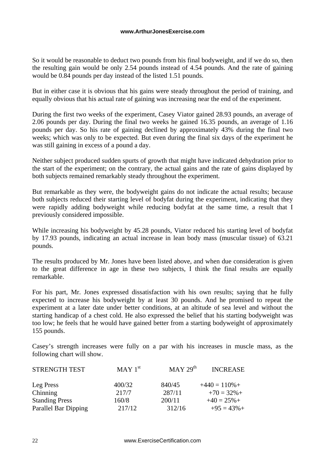So it would be reasonable to deduct two pounds from his final bodyweight, and if we do so, then the resulting gain would be only 2.54 pounds instead of 4.54 pounds. And the rate of gaining would be 0.84 pounds per day instead of the listed 1.51 pounds.

But in either case it is obvious that his gains were steady throughout the period of training, and equally obvious that his actual rate of gaining was increasing near the end of the experiment.

During the first two weeks of the experiment, Casey Viator gained 28.93 pounds, an average of 2.06 pounds per day. During the final two weeks he gained 16.35 pounds, an average of 1.16 pounds per day. So his rate of gaining declined by approximately 43% during the final two weeks; which was only to be expected. But even during the final six days of the experiment he was still gaining in excess of a pound a day.

Neither subject produced sudden spurts of growth that might have indicated dehydration prior to the start of the experiment; on the contrary, the actual gains and the rate of gains displayed by both subjects remained remarkably steady throughout the experiment.

But remarkable as they were, the bodyweight gains do not indicate the actual results; because both subjects reduced their starting level of bodyfat during the experiment, indicating that they were rapidly adding bodyweight while reducing bodyfat at the same time, a result that I previously considered impossible.

While increasing his bodyweight by 45.28 pounds, Viator reduced his starting level of bodyfat by 17.93 pounds, indicating an actual increase in lean body mass (muscular tissue) of 63.21 pounds.

The results produced by Mr. Jones have been listed above, and when due consideration is given to the great difference in age in these two subjects, I think the final results are equally remarkable.

For his part, Mr. Jones expressed dissatisfaction with his own results; saying that he fully expected to increase his bodyweight by at least 30 pounds. And he promised to repeat the experiment at a later date under better conditions, at an altitude of sea level and without the starting handicap of a chest cold. He also expressed the belief that his starting bodyweight was too low; he feels that he would have gained better from a starting bodyweight of approximately 155 pounds.

Casey's strength increases were fully on a par with his increases in muscle mass, as the following chart will show.

| <b>STRENGTH TEST</b>        | MAX 1 <sup>st</sup> | MAY 29 <sup>th</sup> | <b>INCREASE</b> |
|-----------------------------|---------------------|----------------------|-----------------|
| Leg Press                   | 400/32              | 840/45               | $+440 = 110% +$ |
| Chinning                    | 217/7               | 287/11               | $+70 = 32\% +$  |
| <b>Standing Press</b>       | 160/8               | 200/11               | $+40 = 25%$     |
| <b>Parallel Bar Dipping</b> | 217/12              | 312/16               | $+95 = 43\% +$  |